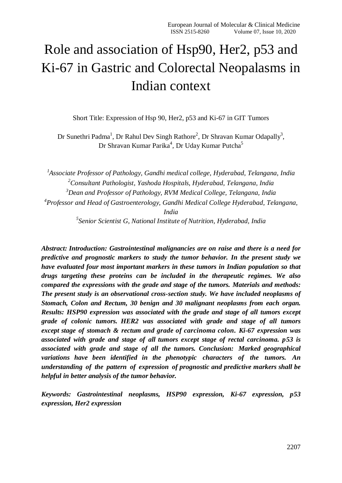# Role and association of Hsp90, Her2, p53 and Ki-67 in Gastric and Colorectal Neopalasms in Indian context

Short Title: Expression of Hsp 90, Her2, p53 and Ki-67 in GIT Tumors

Dr Sunethri Padma<sup>1</sup>, Dr Rahul Dev Singh Rathore<sup>2</sup>, Dr Shravan Kumar Odapally<sup>3</sup>, Dr Shravan Kumar Parika<sup>4</sup>, Dr Uday Kumar Putcha<sup>5</sup>

 *Associate Professor of Pathology, Gandhi medical college, Hyderabad, Telangana, India Consultant Pathologist, Yashoda Hospitals, Hyderabad, Telangana, India Dean and Professor of Pathology, RVM Medical College, Telangana, India Professor and Head of Gastroenterology, Gandhi Medical College Hyderabad, Telangana, India*

*5 Senior Scientist G, National Institute of Nutrition, Hyderabad, India*

*Abstract: Introduction: Gastrointestinal malignancies are on raise and there is a need for predictive and prognostic markers to study the tumor behavior. In the present study we have evaluated four most important markers in these tumors in Indian population so that drugs targeting these proteins can be included in the therapeutic regimes. We also compared the expressions with the grade and stage of the tumors. Materials and methods: The present study is an observational cross-section study. We have included neoplasms of Stomach, Colon and Rectum, 30 benign and 30 malignant neoplasms from each organ. Results: HSP90 expression was associated with the grade and stage of all tumors except grade of colonic tumors. HER2 was associated with grade and stage of all tumors except stage of stomach & rectum and grade of carcinoma colon. Ki-67 expression was associated with grade and stage of all tumors except stage of rectal carcinoma. p53 is associated with grade and stage of all the tumors. Conclusion: Marked geographical variations have been identified in the phenotypic characters of the tumors. An understanding of the pattern of expression of prognostic and predictive markers shall be helpful in better analysis of the tumor behavior.*

*Keywords: Gastrointestinal neoplasms, HSP90 expression, Ki-67 expression, p53 expression, Her2 expression*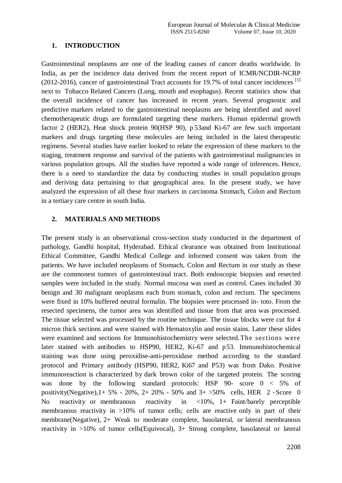# **1. INTRODUCTION**

Gastrointestinal neoplasms are one of the leading causes of cancer deaths worldwide. In India, as per the incidence data derived from the recent report of ICMR/NCDIR-NCRP (2012-2016), cancer of gastrointestinal Tract accounts for 19.7% of total cancer incidences  $^{[1]}$ next to Tobacco Related Cancers (Lung, mouth and esophagus). Recent statistics show that the overall incidence of cancer has increased in recent years. Several prognostic and predictive markers related to the gastrointestinal neoplasms are being identified and novel chemotherapeutic drugs are formulated targeting these markers. Human epidermal growth factor 2 (HER2), Heat shock protein 90(HSP 90), p 53and Ki-67 are few such important markers and drugs targeting these molecules are being included in the latest therapeutic regimens. Several studies have earlier looked to relate the expression of these markers to the staging, treatment response and survival of the patients with gastrointestinal malignancies in various population groups. All the studies have reported a wide range of inferences. Hence, there is a need to standardize the data by conducting studies in small population groups and deriving data pertaining to that geographical area. In the present study, we have analyzed the expression of all these four markers in carcinoma Stomach, Colon and Rectum in a tertiary care centre in south India.

# **2. MATERIALS AND METHODS**

The present study is an observational cross-section study conducted in the department of pathology, Gandhi hospital, Hyderabad. Ethical clearance was obtained from Institutional Ethical Committee, Gandhi Medical College and informed consent was taken from the patients. We have included neoplasms of Stomach, Colon and Rectum in our study as these are the commonest tumors of gastrointestinal tract. Both endoscopic biopsies and resected samples were included in the study. Normal mucosa was used as control. Cases included 30 benign and 30 malignant neoplasms each from stomach, colon and rectum. The specimens were fixed in 10% buffered neutral formalin. The biopsies were processed in- toto. From the resected specimens, the tumor area was identified and tissue from that area was processed. The tissue selected was processed by the routine technique. The tissue blocks were cut for 4 micron thick sections and were stained with Hematoxylin and eosin stains. Later these slides were examined and sections for Immunohistochemistry were selected.The sections were later stained with antibodies to HSP90, HER2, Ki-67 and p53. Immunohistochemical staining was done using peroxidise-anti-peroxidase method according to the standard protocol and Primary antibody (HSP90, HER2, Ki67 and P53) was from Dako. Positive immunoreaction is characterized by dark brown color of the targeted protein. The scoring was done by the following standard protocols: HSP 90- score 0 < 5% of positivity(Negative),  $1+5\% - 20\%$ ,  $2+20\% - 50\%$  and  $3+50\%$  cells, HER 2 - Score 0 No reactivity or membranous reactivity in <10%, 1+ Faint/barely perceptible membranous reactivity in >10% of tumor cells; cells are reactive only in part of their membrane(Negative), 2+ Weak to moderate complete, basolateral, or lateral membranous reactivity in >10% of tumor cells(Equivocal), 3+ Strong complete, basolateral or lateral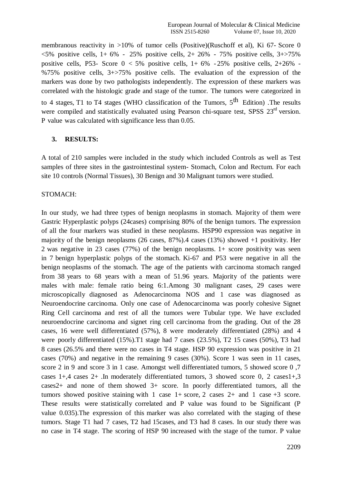membranous reactivity in >10% of tumor cells (Positive)(Ruschoff et al), Ki 67- Score 0 <5% positive cells, 1+ 6% - 25% positive cells, 2+ 26% - 75% positive cells, 3+>75% positive cells, P53- Score  $0 < 5\%$  positive cells,  $1+ 6\%$  - 25% positive cells,  $2+26\%$  -%75% positive cells, 3+>75% positive cells. The evaluation of the expression of the markers was done by two pathologists independently. The expression of these markers was correlated with the histologic grade and stage of the tumor. The tumors were categorized in to 4 stages, T1 to T4 stages (WHO classification of the Tumors,  $5^{\text{th}}$  Edition) .The results were compiled and statistically evaluated using Pearson chi-square test, SPSS 23<sup>rd</sup> version. P value was calculated with significance less than 0.05.

# **3. RESULTS:**

A total of 210 samples were included in the study which included Controls as well as Test samples of three sites in the gastrointestinal system- Stomach, Colon and Rectum. For each site 10 controls (Normal Tissues), 30 Benign and 30 Malignant tumors were studied.

## STOMACH:

In our study, we had three types of benign neoplasms in stomach. Majority of them were Gastric Hyperplastic polyps (24cases) comprising 80% of the benign tumors. The expression of all the four markers was studied in these neoplasms. HSP90 expression was negative in majority of the benign neoplasms (26 cases, 87%).4 cases (13%) showed +1 positivity. Her 2 was negative in 23 cases (77%) of the benign neoplasms. 1+ score positivity was seen in 7 benign hyperplastic polyps of the stomach. Ki-67 and P53 were negative in all the benign neoplasms of the stomach. The age of the patients with carcinoma stomach ranged from 38 years to 68 years with a mean of 51.96 years. Majority of the patients were males with male: female ratio being 6:1.Among 30 malignant cases, 29 cases were microscopically diagnosed as Adenocarcinoma NOS and 1 case was diagnosed as Neuroendocrine carcinoma. Only one case of Adenocarcinoma was poorly cohesive Signet Ring Cell carcinoma and rest of all the tumors were Tubular type. We have excluded neuroendocrine carcinoma and signet ring cell carcinoma from the grading. Out of the 28 cases, 16 were well differentiated (57%), 8 were moderately differentiated (28%) and 4 were poorly differentiated (15%).T1 stage had 7 cases (23.5%), T2 15 cases (50%), T3 had 8 cases (26.5% and there were no cases in T4 stage. HSP 90 expression was positive in 21 cases (70%) and negative in the remaining 9 cases (30%). Score 1 was seen in 11 cases, score 2 in 9 and score 3 in 1 case. Amongst well differentiated tumors, 5 showed score 0 ,7 cases 1+,4 cases 2+ .In moderately differentiated tumors, 3 showed score 0, 2 cases1+,3 cases2+ and none of them showed 3+ score. In poorly differentiated tumors, all the tumors showed positive staining with 1 case  $1+$  score, 2 cases  $2+$  and 1 case  $+3$  score. These results were statistically correlated and P value was found to be Significant (P value 0.035).The expression of this marker was also correlated with the staging of these tumors. Stage T1 had 7 cases, T2 had 15cases, and T3 had 8 cases. In our study there was no case in T4 stage. The scoring of HSP 90 increased with the stage of the tumor. P value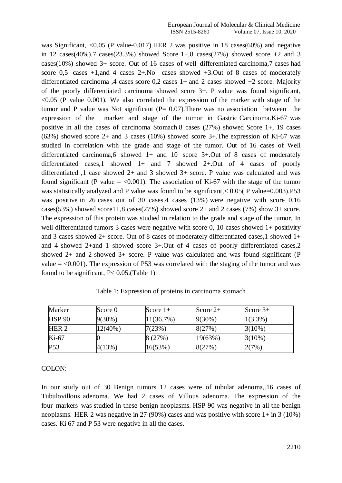was Significant, <0.05 (P value-0.017).HER 2 was positive in 18 cases(60%) and negative in 12 cases(40%).7 cases(23.3%) showed Score  $1+0.8$  cases(27%) showed score  $+2$  and 3 cases(10%) showed 3+ score. Out of 16 cases of well differentiated carcinoma,7 cases had score  $0.5$  cases  $+1$ , and  $4$  cases  $2+.$  No cases showed  $+3.$  Out of 8 cases of moderately differentiated carcinoma ,4 cases score  $0.2$  cases  $1+$  and 2 cases showed  $+2$  score. Majority of the poorly differentiated carcinoma showed score 3+. P value was found significant,  $< 0.05$  (P value 0.001). We also correlated the expression of the marker with stage of the tumor and P value was Not significant  $(P= 0.07)$ . There was no association between the expression of the marker and stage of the tumor in Gastric Carcinoma.Ki-67 was positive in all the cases of carcinoma Stomach.8 cases (27%) showed Score 1+, 19 cases (63%) showed score 2+ and 3 cases (10%) showed score 3+.The expression of Ki-67 was studied in correlation with the grade and stage of the tumor. Out of 16 cases of Well differentiated carcinoma,6 showed 1+ and 10 score 3+.Out of 8 cases of moderately differentiated cases,1 showed 1+ and 7 showed 2+.Out of 4 cases of poorly differentiated ,1 case showed 2+ and 3 showed 3+ score. P value was calculated and was found significant (P value  $=$  <0.001). The association of Ki-67 with the stage of the tumor was statistically analyzed and P value was found to be significant,< 0.05( P value=0.003).P53 was positive in 26 cases out of 30 cases.4 cases (13%) were negative with score 0.16 cases(53%) showed score1+,8 cases(27%) showed score  $2+$  and 2 cases (7%) show  $3+$  score. The expression of this protein was studied in relation to the grade and stage of the tumor. In well differentiated tumors 3 cases were negative with score 0, 10 cases showed 1+ positivity and 3 cases showed 2+ score. Out of 8 cases of moderately differentiated cases,1 showed 1+ and 4 showed 2+and 1 showed score 3+.Out of 4 cases of poorly differentiated cases,2 showed 2+ and 2 showed 3+ score. P value was calculated and was found significant (P value  $=$  <0.001). The expression of P53 was correlated with the staging of the tumor and was found to be significant,  $P < 0.05$ . (Table 1)

| Marker           | Score 0    | Score $1+$ | Score $2+$ | Score $3+$ |
|------------------|------------|------------|------------|------------|
| <b>HSP 90</b>    | $9(30\%)$  | 11(36.7%)  | $9(30\%)$  | $1(3.3\%)$ |
| HER <sub>2</sub> | $12(40\%)$ | 7(23%)     | 8(27%)     | $3(10\%)$  |
| $Ki-67$          |            | 8(27%)     | 19(63%)    | $3(10\%)$  |
| P <sub>53</sub>  | 4(13%)     | 16(53%)    | 8(27%)     | 2(7%)      |

Table 1: Expression of proteins in carcinoma stomach

## COLON:

In our study out of 30 Benign tumors 12 cases were of tubular adenoma,.16 cases of Tubulovillous adenoma. We had 2 cases of Villous adenoma. The expression of the four markers was studied in these benign neoplasms. HSP 90 was negative in all the benign neoplasms. HER 2 was negative in 27 (90%) cases and was positive with score 1+ in 3 (10%) cases. Ki 67 and P 53 were negative in all the cases.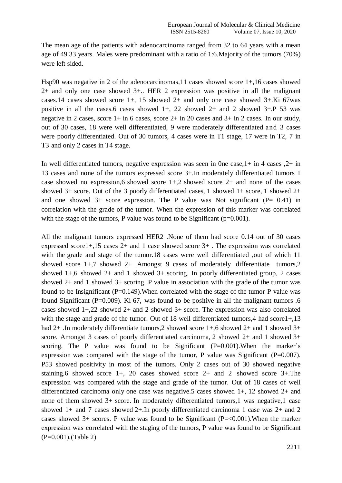The mean age of the patients with adenocarcinoma ranged from 32 to 64 years with a mean age of 49.33 years. Males were predominant with a ratio of 1:6.Majority of the tumors (70%) were left sided.

Hsp90 was negative in 2 of the adenocarcinomas,11 cases showed score 1+,16 cases showed 2+ and only one case showed 3+.. HER 2 expression was positive in all the malignant cases.14 cases showed score 1+, 15 showed 2+ and only one case showed 3+.Ki 67was positive in all the cases.6 cases showed  $1+$ , 22 showed  $2+$  and 2 showed  $3+$ . P 53 was negative in 2 cases, score 1+ in 6 cases, score 2+ in 20 cases and 3+ in 2 cases. In our study, out of 30 cases, 18 were well differentiated, 9 were moderately differentiated and 3 cases were poorly differentiated. Out of 30 tumors, 4 cases were in T1 stage, 17 were in T2, 7 in T3 and only 2 cases in T4 stage.

In well differentiated tumors, negative expression was seen in 0ne case,1+ in 4 cases ,2+ in 13 cases and none of the tumors expressed score 3+.In moderately differentiated tumors 1 case showed no expression, 6 showed score  $1+$ , 2 showed score  $2+$  and none of the cases showed 3+ score. Out of the 3 poorly differentiated cases, 1 showed 1+ score, 1 showed 2+ and one showed  $3+$  score expression. The P value was Not significant (P= 0.41) in correlation with the grade of the tumor. When the expression of this marker was correlated with the stage of the tumors, P value was found to be Significant ( $p=0.001$ ).

All the malignant tumors expressed HER2 .None of them had score 0.14 out of 30 cases expressed score1+,15 cases 2+ and 1 case showed score 3+ . The expression was correlated with the grade and stage of the tumor.18 cases were well differentiated ,out of which 11 showed score 1+,7 showed 2+ .Amongst 9 cases of moderately differentiate tumors,2 showed 1+,6 showed 2+ and 1 showed 3+ scoring. In poorly differentiated group, 2 cases showed 2+ and 1 showed 3+ scoring. P value in association with the grade of the tumor was found to be Insignificant ( $P=0.149$ ). When correlated with the stage of the tumor P value was found Significant ( $P=0.009$ ). Ki 67, was found to be positive in all the malignant tumors .6 cases showed 1+,22 showed 2+ and 2 showed 3+ score. The expression was also correlated with the stage and grade of the tumor. Out of 18 well differentiated tumors, 4 had score1+,13 had 2+. In moderately differentiate tumors, 2 showed score 1+,6 showed 2+ and 1 showed 3+ score. Amongst 3 cases of poorly differentiated carcinoma, 2 showed 2+ and 1 showed 3+ scoring. The P value was found to be Significant  $(P=0.001)$ . When the marker's expression was compared with the stage of the tumor, P value was Significant  $(P=0.007)$ . P53 showed positivity in most of the tumors. Only 2 cases out of 30 showed negative staining.6 showed score 1+, 20 cases showed score 2+ and 2 showed score 3+.The expression was compared with the stage and grade of the tumor. Out of 18 cases of well differentiated carcinoma only one case was negative.5 cases showed 1+, 12 showed 2+ and none of them showed 3+ score. In moderately differentiated tumors,1 was negative,1 case showed 1+ and 7 cases showed 2+.In poorly differentiated carcinoma 1 case was 2+ and 2 cases showed  $3+$  scores. P value was found to be Significant (P=<0.001). When the marker expression was correlated with the staging of the tumors, P value was found to be Significant (P=0.001).(Table 2)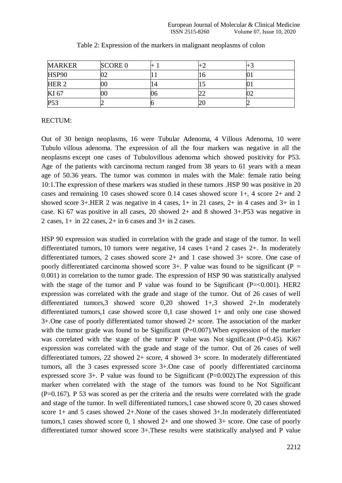| <b>MARKER</b>    | <b>SCORE 0</b> |                |  |
|------------------|----------------|----------------|--|
| HSP90            |                |                |  |
| HER <sub>2</sub> |                | $\overline{4}$ |  |
| KI 67            | 00             |                |  |
| P <sub>53</sub>  |                |                |  |

| Table 2: Expression of the markers in malignant neoplasms of colon |  |  |
|--------------------------------------------------------------------|--|--|
|                                                                    |  |  |

# RECTUM:

Out of 30 benign neoplasms, 16 were Tubular Adenoma, 4 Villous Adenoma, 10 were Tubulo villous adenoma. The expression of all the four markers was negative in all the neoplasms except one cases of Tubulovillous adenoma which showed positivity for P53. Age of the patients with carcinoma rectum ranged from 38 years to 61 years with a mean age of 50.36 years. The tumor was common in males with the Male: female ratio being 10:1.The expression of these markers was studied in these tumors .HSP 90 was positive in 20 cases and remaining 10 cases showed score 0.14 cases showed score 1+, 4 score 2+ and 2 showed score 3+.HER 2 was negative in 4 cases, 1+ in 21 cases, 2+ in 4 cases and 3+ in 1 case. Ki 67 was positive in all cases, 20 showed 2+ and 8 showed 3+.P53 was negative in 2 cases,  $1+$  in 22 cases,  $2+$  in 6 cases and  $3+$  in 2 cases.

HSP 90 expression was studied in correlation with the grade and stage of the tumor. In well differentiated tumors, 10 tumors were negative, 14 cases 1+and 2 cases 2+. In moderately differentiated tumors, 2 cases showed score 2+ and 1 case showed 3+ score. One case of poorly differentiated carcinoma showed score  $3+$ . P value was found to be significant (P = 0.001) in correlation to the tumor grade. The expression of HSP 90 was statistically analysed with the stage of the tumor and P value was found to be Significant  $(P=<0.001)$ . HER2 expression was correlated with the grade and stage of the tumor. Out of 26 cases of well differentiated tumors,3 showed score 0,20 showed 1+,3 showed 2+.In moderately differentiated tumors,1 case showed score 0,1 case showed 1+ and only one case showed 3+.One case of poorly differentiated tumor showed 2+ score. The association of the marker with the tumor grade was found to be Significant  $(P=0.007)$ . When expression of the marker was correlated with the stage of the tumor P value was Not significant  $(P=0.45)$ . Ki67 expression was correlated with the grade and stage of the tumor. Out of 26 cases of well differentiated tumors, 22 showed 2+ score, 4 showed 3+ score. In moderately differentiated tumors, all the 3 cases expressed score 3+.One case of poorly differentiated carcinoma expressed score 3+. P value was found to be Significant (P=0.002).The expression of this marker when correlated with the stage of the tumors was found to be Not Significant (P=0.167). P 53 was scored as per the criteria and the results were correlated with the grade and stage of the tumor. In well differentiated tumors,1 case showed score 0, 20 cases showed score 1+ and 5 cases showed 2+.None of the cases showed 3+.In moderately differentiated tumors,1 cases showed score 0, 1 showed 2+ and one showed 3+ score. One case of poorly differentiated tumor showed score 3+.These results were statistically analysed and P value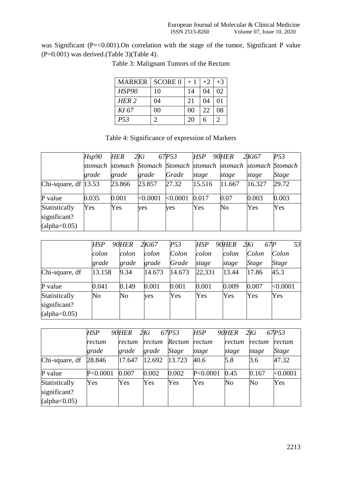was Significant (P=<0.001). On correlation with the stage of the tumor, Significant P value  $(P=0.001)$  was derived.(Table 3)(Table 4).

| MARKER           | SCORE 0 | $+1$           | $+2$ | $+3$                  |
|------------------|---------|----------------|------|-----------------------|
| <b>HSP90</b>     | 10      | 14             | 04   | 02                    |
| HER <sub>2</sub> | 04      | 21             | 04   | 01                    |
| KI 67            | 00      | 0 <sup>0</sup> | 22   | 08                    |
| P <sub>53</sub>  |         | 20             |      | $\mathcal{D}_{\cdot}$ |

Table 3: Malignant Tumors of the Rectum

| Table 4: Significance of expression of Markers |  |  |
|------------------------------------------------|--|--|
|------------------------------------------------|--|--|

|                                | Hsp90 | HER    | 2Ki      | 67P53    | HSP                                                             | 90HER          | 2Ki67  | P53          |
|--------------------------------|-------|--------|----------|----------|-----------------------------------------------------------------|----------------|--------|--------------|
|                                |       |        |          |          | stomach stomach Stomach Stomach stomach stomach stomach Stomach |                |        |              |
|                                | grade | grade  | grade    | Grade    | stage                                                           | stage          | stage  | <i>Stage</i> |
| Chi-square, df $ 13.53\rangle$ |       | 23.866 | 23.857   | 27.32    | 15.516                                                          | 11.667         | 16.327 | 29.72        |
| P value                        | 0.035 | 0.001  | < 0.0001 | < 0.0001 | 0.017                                                           | 0.07           | 0.003  | 0.003        |
| Statistically                  | Yes   | Yes    | yes      | yes      | Yes                                                             | N <sub>o</sub> | Yes    | Yes          |
| significant?                   |       |        |          |          |                                                                 |                |        |              |
| (alpha<0.05)                   |       |        |          |          |                                                                 |                |        |              |

|                | HSP            | 90HER | 2Ki67  | P53    | <b>HSP</b> | 90HER | 67 <sub>P</sub><br>2Ki | 53       |
|----------------|----------------|-------|--------|--------|------------|-------|------------------------|----------|
|                | colon          | colon | colon  | Colon  | colon      | colon | Colon                  | Colon    |
|                | grade          | grade | grade  | Grade  | stage      | stage | <i>Stage</i>           | Stage    |
| Chi-square, df | 13.158         | 9.34  | 14.673 | 14.673 | 22,331     | 13.44 | 17.86                  | 45.3     |
| P value        | 0.041          | 0.149 | 0.001  | 0.001  | 0.001      | 0.009 | 0.007                  | < 0.0001 |
| Statistically  | N <sub>o</sub> | No    | yes    | Yes    | Yes        | Yes   | Yes                    | Yes      |
| significant?   |                |       |        |        |            |       |                        |          |
| (alpha<0.05)   |                |       |        |        |            |       |                        |          |

|                | HSP        | <b>90HER</b> | 2Ki    | 67P53        | <b>HSP</b> | <b>90HER</b>   | 2Ki    | 67P53        |
|----------------|------------|--------------|--------|--------------|------------|----------------|--------|--------------|
|                | rectum     | rectum       | rectum | Rectum       | rectum     | rectum         | rectum | rectum       |
|                | grade      | grade        | grade  | <i>Stage</i> | stage      | stage          | stage  | <b>Stage</b> |
| Chi-square, df | 28.846     | 17.647       | 12.692 | 13.723       | 40.6       | 5.8            | 3.6    | 47.32        |
| P value        | P < 0.0001 | 0.007        | 0.002  | 0.002        | P < 0.0001 | 0.45           | 0.167  | < 0.0001     |
| Statistically  | Yes        | Yes          | Yes    | Yes          | Yes        | N <sub>o</sub> | No     | Yes          |
| significant?   |            |              |        |              |            |                |        |              |
| (alpha<0.05)   |            |              |        |              |            |                |        |              |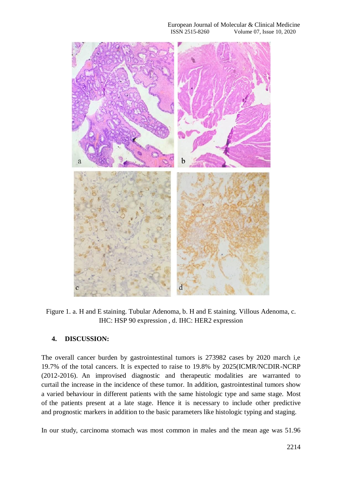#### European Journal of Molecular & Clinical Medicine<br>ISSN 2515-8260 Volume 07, Issue 10, 2020 Volume 07, Issue 10, 2020



Figure 1. a. H and E staining. Tubular Adenoma, b. H and E staining. Villous Adenoma, c. IHC: HSP 90 expression , d. IHC: HER2 expression

## **4. DISCUSSION:**

The overall cancer burden by gastrointestinal tumors is 273982 cases by 2020 march i,e 19.7% of the total cancers. It is expected to raise to 19.8% by 2025(ICMR/NCDIR-NCRP (2012-2016). An improvised diagnostic and therapeutic modalities are warranted to curtail the increase in the incidence of these tumor. In addition, gastrointestinal tumors show a varied behaviour in different patients with the same histologic type and same stage. Most of the patients present at a late stage. Hence it is necessary to include other predictive and prognostic markers in addition to the basic parameters like histologic typing and staging.

In our study, carcinoma stomach was most common in males and the mean age was 51.96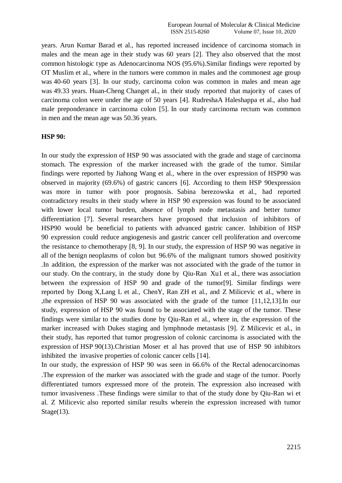years. Arun Kumar Barad et al., has reported increased incidence of carcinoma stomach in males and the mean age in their study was 60 years [2]. They also observed that the most common histologic type as Adenocarcinoma NOS (95.6%).Similar findings were reported by OT Muslim et al., where in the tumors were common in males and the commonest age group was 40-60 years [3]. In our study, carcinoma colon was common in males and mean age was 49.33 years. Huan-Cheng Changet al., in their study reported that majority of cases of carcinoma colon were under the age of 50 years [4]. RudreshaA [Haleshappa](https://www.ncbi.nlm.nih.gov/pubmed/?term=Haleshappa%20RA%5BAuthor%5D&cauthor=true&cauthor_uid=29333014) et al., also had male preponderance in carcinoma colon [5]. In our study carcinoma rectum was common in men and the mean age was 50.36 years.

#### **HSP 90:**

In our study the expression of HSP 90 was associated with the grade and stage of carcinoma stomach. The expression of the marker increased with the grade of the tumor. Similar findings were reported by Jiahong Wang et al., where in the over expression of HSP90 was observed in majority (69.6%) of gastric cancers [6]. According to them HSP 90expression was more in tumor with poor prognosis. Sabina berezowska et al., had reported contradictory results in their study where in HSP 90 expression was found to be associated with lower local tumor burden, absence of lymph node metastasis and better tumor differentiation [7]. Several researchers have proposed that inclusion of inhibitors of HSP90 would be beneficial to patients with advanced gastric cancer. Inhibition of HSP 90 expression could reduce angiogenesis and gastric cancer cell proliferation and overcome the resistance to chemotherapy [8, 9]. In our study, the expression of HSP 90 was negative in all of the benign neoplasms of colon but 96.6% of the malignant tumors showed positivity .In addition, the expression of the marker was not associated with the grade of the tumor in our study. On the contrary, in the study done by Qiu-Ran Xu1 et al., there was association between the expression of HSP 90 and grade of the tumor[9]. Similar findings were reported by Dong X,Lang L et al., ChenY, Ran ZH et al., and Z Milicevic et al., where in ,the expression of HSP 90 was associated with the grade of the tumor [11,12,13].In our study, expression of HSP 90 was found to be associated with the stage of the tumor. These findings were similar to the studies done by Qiu-Ran et al., where in, the expression of the marker increased with Dukes staging and lymphnode metastasis [9]. Z Milicevic et al., in their study, has reported that tumor progression of colonic carcinoma is associated with the expression of HSP 90(13).Christian Moser et al has proved that use of HSP 90 inhibitors inhibited the invasive properties of colonic cancer cells [14].

In our study, the expression of HSP 90 was seen in 66.6% of the Rectal adenocarcinomas .The expression of the marker was associated with the grade and stage of the tumor. Poorly differentiated tumors expressed more of the protein. The expression also increased with tumor invasiveness .These findings were similar to that of the study done by Qiu-Ran wi et al. Z Milicevic also reported similar results wherein the expression increased with tumor Stage(13).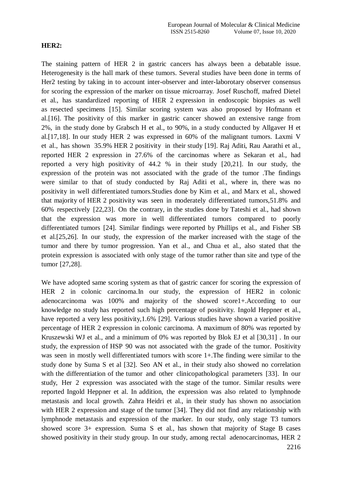#### **HER2:**

The staining pattern of HER 2 in gastric cancers has always been a debatable issue. Heterogenesity is the hall mark of these tumors. Several studies have been done in terms of Her2 testing by taking in to account inter-observer and inter-laborotary observer consensus for scoring the expression of the marker on tissue microarray. Josef Ruschoff, mafred Dietel et al., has standardized reporting of HER 2 expression in endoscopic biopsies as well as resected specimens [15]. Similar scoring system was also proposed by Hofmann et al.[16]. The positivity of this marker in gastric cancer showed an extensive range from 2%, in the study done by Grabsch H et al., to 90%, in a study conducted by Allgaver H et al.[17,18]. In our study HER 2 was expressed in 60% of the malignant tumors. Laxmi V et al., has shown 35.9% HER 2 positivity in their study [19]. Raj Aditi, Rau Aarathi et al., reported HER 2 expression in 27.6% of the carcinomas where as Sekaran et al., had reported a very high positivity of 44.2 % in their study [20,21]. In our study, the expression of the protein was not associated with the grade of the tumor .The findings were similar to that of study conducted by Raj Aditi et al., where in, there was no positivity in well differentiated tumors.Studies done by Kim et al., and Marx et al., showed that majority of HER 2 positivity was seen in moderately differentiated tumors,51.8% and 60% respectively [22,23]. On the contrary, in the studies done by Tateshi et al., had shown that the expression was more in well differentiated tumors compared to poorly differentiated tumors [24]. Similar findings were reported by Phillips et al., and Fisher SB et al.[25,26]. In our study, the expression of the marker increased with the stage of the tumor and there by tumor progression. Yan et al., and Chua et al., also stated that the protein expression is associated with only stage of the tumor rather than site and type of the tumor [27,28].

We have adopted same scoring system as that of gastric cancer for scoring the expression of HER 2 in colonic carcinoma.In our study, the expression of HER2 in colonic adenocarcinoma was 100% and majority of the showed score1+.According to our knowledge no study has reported such high percentage of positivity. Ingold Heppner et al., have reported a very less positivity,1.6% [29]. Various studies have shown a varied positive percentage of HER 2 expression in colonic carcinoma. A maximum of 80% was reported by Kruszewski WJ et al., and a minimum of 0% was reported by Blok EJ et al [30,31] . In our study, the expression of HSP 90 was not associated with the grade of the tumor. Positivity was seen in mostly well differentiated tumors with score 1+.The finding were similar to the study done by Suma S et al [32]. Seo AN et al., in their study also showed no correlation with the differentiation of the tumor and other clinicopathological parameters [33]. In our study, Her 2 expression was associated with the stage of the tumor. Similar results were reported Ingold Heppner et al. In addition, the expression was also related to lymphnode metastasis and local growth. Zahra Heidri et al., in their study has shown no association with HER 2 expression and stage of the tumor [34]. They did not find any relationship with lymphnode metastasis and expression of the marker. In our study, only stage T3 tumors showed score 3+ expression. Suma S et al., has shown that majority of Stage B cases showed positivity in their study group. In our study, among rectal adenocarcinomas, HER 2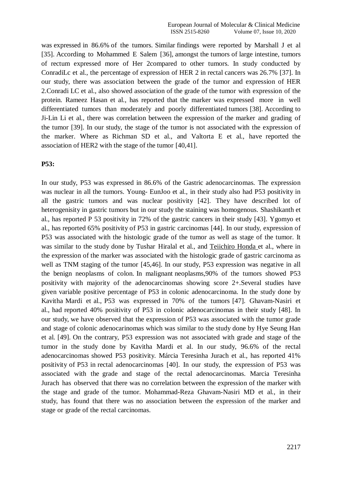was expressed in 86.6% of the tumors. Similar findings were reported by Marshall J et al [35]. According to Mohammed E Salem [36], amongst the tumors of large intestine, tumors of rectum expressed more of Her 2compared to other tumors. In study conducted by ConradiLc et al., the percentage of expression of HER 2 in rectal cancers was 26.7% [37]. In our study, there was association between the grade of the tumor and expression of HER 2.Conradi LC et al., also showed association of the grade of the tumor with expression of the protein. Rameez Hasan et al., has reported that the marker was expressed more in well differentiated tumors than moderately and poorly differentiated tumors [38]. According to Ji-Lin Li et al., there was correlation between the expression of the marker and grading of the tumor [39]. In our study, the stage of the tumor is not associated with the expression of the marker. Where as Richman SD et al., and Valtorta E et al., have reported the association of HER2 with the stage of the tumor [40,41].

#### **P53:**

In our study, P53 was expressed in 86.6% of the Gastric adenocarcinomas. The expression was nuclear in all the tumors. Young- EunJoo et al., in their study also had P53 positivity in all the gastric tumors and was nuclear positivity [42]. They have described lot of heterogenisity in gastric tumors but in our study the staining was homogenous. Shashikanth et al., has reported P 53 positivity in 72% of the gastric cancers in their study [43]. Ygomyo et al., has reported 65% positivity of P53 in gastric carcinomas [44]. In our study, expression of P53 was associated with the histologic grade of the tumor as well as stage of the tumor. It was similar to the study done by Tushar Hiralal et al., and [Teiichiro](https://pubmed.ncbi.nlm.nih.gov/?term=Honda%2BT&cauthor_id=16254038) Honda et al., where in the expression of the marker was associated with the histologic grade of gastric carcinoma as well as TNM staging of the tumor [45,46]. In our study, P53 expression was negative in all the benign neoplasms of colon. In malignant neoplasms,90% of the tumors showed P53 positivity with majority of the adenocarcinomas showing score 2+.Several studies have given variable positive percentage of P53 in colonic adenocarcinoma. In the study done by Kavitha Mardi et al., P53 was expressed in 70% of the tumors [47]. Ghavam-Nasiri et al., had reported 40% positivity of P53 in colonic adenocarcinomas in their study [48]. In our study, we have observed that the expression of P53 was associated with the tumor grade and stage of colonic adenocarinomas which was similar to the study done by Hye Seung Han et al. [49]. On the contrary, P53 expression was not associated with grade and stage of the tumor in the study done by Kavitha Mardi et al. In our study, 96.6% of the rectal adenocarcinomas showed P53 positivity. Márcia Teresinha Jurach et al., has reported 41% positivity of P53 in rectal adenocarcinomas [40]. In our study, the expression of P53 was associated with the grade and stage of the rectal adenocarcinomas. Marcia Teresinha Jurach has observed that there was no correlation between the expression of the marker with the stage and grade of the tumor. Mohammad-Reza Ghavam-Nasiri MD et al., in their study, has found that there was no association between the expression of the marker and stage or grade of the rectal carcinomas.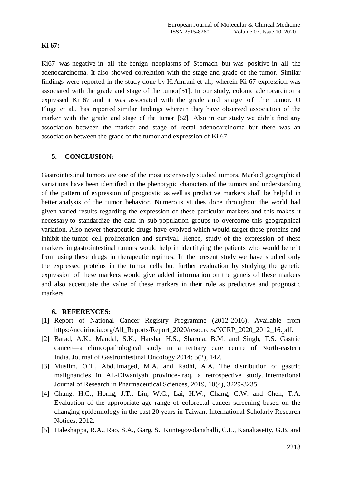# **Ki 67:**

Ki67 was negative in all the benign neoplasms of Stomach but was positive in all the adenocarcinoma. It also showed correlation with the stage and grade of the tumor. Similar findings were reported in the study done by H.Amrani et al., wherein Ki 67 expression was associated with the grade and stage of the tumor[51]. In our study, colonic adenocarcinoma expressed Ki 67 and it was associated with the grade and stage of the tumor. O Fluge et al., has reported similar findings wherein they have observed association of the marker with the grade and stage of the tumor [52]. Also in our study we didn't find any association between the marker and stage of rectal adenocarcinoma but there was an association between the grade of the tumor and expression of Ki 67.

# **5. CONCLUSION:**

Gastrointestinal tumors are one of the most extensively studied tumors. Marked geographical variations have been identified in the phenotypic characters of the tumors and understanding of the pattern of expression of prognostic as well as predictive markers shall be helpful in better analysis of the tumor behavior. Numerous studies done throughout the world had given varied results regarding the expression of these particular markers and this makes it necessary to standardize the data in sub-population groups to overcome this geographical variation. Also newer therapeutic drugs have evolved which would target these proteins and inhibit the tumor cell proliferation and survival. Hence, study of the expression of these markers in gastrointestinal tumors would help in identifying the patients who would benefit from using these drugs in therapeutic regimes. In the present study we have studied only the expressed proteins in the tumor cells but further evaluation by studying the genetic expression of these markers would give added information on the geneis of these markers and also accentuate the value of these markers in their role as predictive and prognostic markers.

## **6. REFERENCES:**

- [1] Report of National Cancer Registry Programme (2012-2016). Available from https://ncdirindia.org/All\_Reports/Report\_2020/resources/NCRP\_2020\_2012\_16.pdf.
- [2] Barad, A.K., Mandal, S.K., Harsha, H.S., Sharma, B.M. and Singh, T.S. Gastric cancer—a clinicopathological study in a tertiary care centre of North-eastern India. Journal of Gastrointestinal Oncology 2014: 5(2), 142.
- [3] Muslim, O.T., Abdulmaged, M.A. and Radhi, A.A. The distribution of gastric malignancies in AL-Diwaniyah province-Iraq, a retrospective study. International Journal of Research in Pharmaceutical Sciences, 2019, 10(4), 3229-3235.
- [4] Chang, H.C., Horng, J.T., Lin, W.C., Lai, H.W., Chang, C.W. and Chen, T.A. Evaluation of the appropriate age range of colorectal cancer screening based on the changing epidemiology in the past 20 years in Taiwan. International Scholarly Research Notices, 2012.
- [5] Haleshappa, R.A., Rao, S.A., Garg, S., Kuntegowdanahalli, C.L., Kanakasetty, G.B. and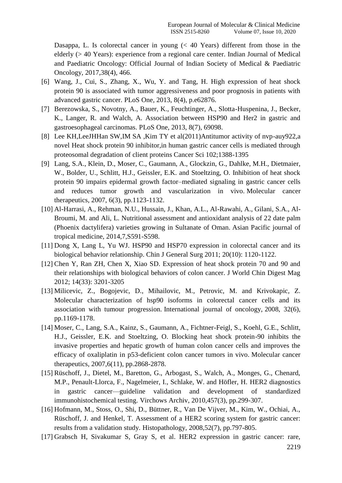Dasappa, L. Is colorectal cancer in young  $( $40$  Years) different from those in the$ elderly (> 40 Years): experience from a regional care center. Indian Journal of Medical and Paediatric Oncology: Official Journal of Indian Society of Medical & Paediatric Oncology, 2017,38(4), 466.

- [6] Wang, J., Cui, S., Zhang, X., Wu, Y. and Tang, H. High expression of heat shock protein 90 is associated with tumor aggressiveness and poor prognosis in patients with advanced gastric cancer. PLoS One, 2013, 8(4), p.e62876.
- [7] Berezowska, S., Novotny, A., Bauer, K., Feuchtinger, A., Slotta-Huspenina, J., Becker, K., Langer, R. and Walch, A. Association between HSP90 and Her2 in gastric and gastroesophageal carcinomas. PLoS One, 2013, 8(7), 69098.
- [8] Lee KH,LeeJHHan SW,IM SA ,Kim TY et al(2011)Antitumor activity of nvp-auy922,a novel Heat shock protein 90 inhibitor,in human gastric cancer cells is mediated through proteosomal degradation of client proteins Cancer Sci 102;1388-1395
- [9] Lang, S.A., Klein, D., Moser, C., Gaumann, A., Glockzin, G., Dahlke, M.H., Dietmaier, W., Bolder, U., Schlitt, H.J., Geissler, E.K. and Stoeltzing, O. Inhibition of heat shock protein 90 impairs epidermal growth factor–mediated signaling in gastric cancer cells and reduces tumor growth and vascularization in vivo. Molecular cancer therapeutics, 2007, 6(3), pp.1123-1132.
- [10] Al-Harrasi, A., Rehman, N.U., Hussain, J., Khan, A.L., Al-Rawahi, A., Gilani, S.A., Al-Broumi, M. and Ali, L. Nutritional assessment and antioxidant analysis of 22 date palm (Phoenix dactylifera) varieties growing in Sultanate of Oman. Asian Pacific journal of tropical medicine, 2014,7,S591-S598.
- [11] Dong X, Lang L, Yu WJ. HSP90 and HSP70 expression in colorectal cancer and its biological behavior relationship. Chin J General Surg 2011; 20(10): 1120-1122.
- [12] Chen Y, Ran ZH, Chen X, Xiao SD. Expression of heat shock protein 70 and 90 and their relationships with biological behaviors of colon cancer. J World Chin Digest Mag 2012; 14(33): 3201-3205
- [13] Milicevic, Z., Bogojevic, D., Mihailovic, M., Petrovic, M. and Krivokapic, Z. Molecular characterization of hsp90 isoforms in colorectal cancer cells and its association with tumour progression. International journal of oncology, 2008, 32(6), pp.1169-1178.
- [14] Moser, C., Lang, S.A., Kainz, S., Gaumann, A., Fichtner-Feigl, S., Koehl, G.E., Schlitt, H.J., Geissler, E.K. and Stoeltzing, O. Blocking heat shock protein-90 inhibits the invasive properties and hepatic growth of human colon cancer cells and improves the efficacy of oxaliplatin in p53-deficient colon cancer tumors in vivo. Molecular cancer therapeutics, 2007,6(11), pp.2868-2878.
- [15] Rüschoff, J., Dietel, M., Baretton, G., Arbogast, S., Walch, A., Monges, G., Chenard, M.P., Penault-Llorca, F., Nagelmeier, I., Schlake, W. and Höfler, H. HER2 diagnostics in gastric cancer—guideline validation and development of standardized immunohistochemical testing. Virchows Archiv, 2010,457(3), pp.299-307.
- [16] Hofmann, M., Stoss, O., Shi, D., Büttner, R., Van De Vijver, M., Kim, W., Ochiai, A., Rüschoff, J. and Henkel, T. Assessment of a HER2 scoring system for gastric cancer: results from a validation study. Histopathology, 2008,52(7), pp.797-805.
- [17] Grabsch H, Sivakumar S, Gray S, et al. HER2 expression in gastric cancer: rare,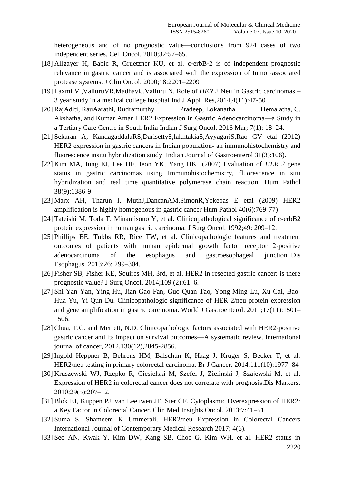heterogeneous and of no prognostic value—conclusions from 924 cases of two independent series. Cell Oncol. 2010;32:57–65.

- [18] Allgayer H, Babic R, Gruetzner KU, et al. c-erbB-2 is of independent prognostic relevance in gastric cancer and is associated with the expression of tumor‐associated protease systems. J Clin Oncol. 2000;18:2201–2209
- [19] Laxmi V ,ValluruVR,MadhaviJ,Valluru N. Role of *HER 2* Neu in Gastric carcinomas 3 year study in a medical college hospital Ind J Appl Res,2014,4(11):47-50 .
- [20] RajAditi, RauAarathi, Rudramurthy Pradeep, Lokanatha Hemalatha, C. Akshatha, and Kumar Amar HER2 Expression in Gastric Adenocarcinoma—a Study in a Tertiary Care Centre in South India Indian J Surg Oncol. 2016 Mar; 7(1): 18–24.
- [21] Sekaran A, KandagaddalaRS,DarisettyS,lakhtakiaS,AyyagariS,Rao GV etal (2012) HER2 expression in gastric cancers in Indian population- an immunohistochemistry and fluorescence insitu hybridization study Indian Journal of Gastroenterol 31(3):106).
- [22] Kim MA, Jung EJ, Lee HF, Jeon YK, Yang HK (2007) Evaluation of *HER 2* gene status in gastric carcinomas using Immunohistochemistry, fluorescence in situ hybridization and real time quantitative polymerase chain reaction. Hum Pathol 38(9):1386-9
- [23] Marx AH, Tharun l, MuthJ,DancanAM,SimonR,Yekebas E etal (2009) HER2 amplification is highly homogenous in gastric cancer Hum Pathol 40(6):769-77)
- [24] Tateishi M, Toda T, Minamisono Y, et al. Clinicopathological significance of c-erbB2 protein expression in human gastric carcinoma. J Surg Oncol. 1992;49: 209–12.
- [25] Phillips BE, Tubbs RR, Rice TW, et al. Clinicopathologic features and treatment outcomes of patients with human epidermal growth factor receptor 2‐positive adenocarcinoma of the esophagus and gastroesophageal junction. Dis Esophagus. 2013;26: 299–304.
- [26] Fisher SB, Fisher KE, Squires MH, 3rd, et al. HER2 in resected gastric cancer: is there prognostic value? J Surg Oncol. 2014;109 (2):61–6.
- [27] Shi-Yan Yan, Ying Hu, Jian-Gao Fan, Guo-Quan Tao, Yong-Ming Lu, Xu Cai, Bao-Hua Yu, Yi-Qun Du. Clinicopathologic significance of HER-2/neu protein expression and gene amplification in gastric carcinoma. World J Gastroenterol. 2011;17(11):1501– 1506.
- [28] Chua, T.C. and Merrett, N.D. Clinicopathologic factors associated with HER2‐positive gastric cancer and its impact on survival outcomes—A systematic review. International journal of cancer, 2012,130(12),2845-2856.
- [29] Ingold Heppner B, Behrens HM, Balschun K, Haag J, Kruger S, Becker T, et al. HER2/neu testing in primary colorectal carcinoma. Br J Cancer. 2014;111(10):1977–84
- [30] Kruszewski WJ, Rzepko R, Ciesielski M, Szefel J, Zielinski J, Szajewski M, et al. Expression of HER2 in colorectal cancer does not correlate with prognosis.Dis Markers. 2010;29(5):207–12.
- [31] Blok EJ, Kuppen PJ, van Leeuwen JE, Sier CF. Cytoplasmic Overexpression of HER2: a Key Factor in Colorectal Cancer. Clin Med Insights Oncol. 2013;7:41–51.
- [32] Suma S, Shameem K Ummerali. HER2/neu Expression in Colorectal Cancers International Journal of Contemporary Medical Research 2017; 4(6).
- [33] Seo AN, Kwak Y, Kim DW, Kang SB, Choe G, Kim WH, et al. HER2 status in

2220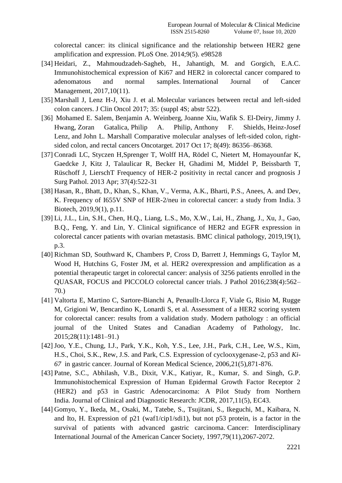colorectal cancer: its clinical significance and the relationship between HER2 gene amplification and expression. PLoS One. 2014;9(5). e98528

- [34] Heidari, Z., Mahmoudzadeh-Sagheb, H., Jahantigh, M. and Gorgich, E.A.C. Immunohistochemical expression of Ki67 and HER2 in colorectal cancer compared to adenomatous and normal samples. International Journal of Cancer Management, 2017,10(11).
- [35] Marshall J, Lenz H-J, Xiu J. et al. Molecular variances between rectal and left-sided colon cancers. J Clin Oncol 2017; 35: (suppl 4S; abstr 522).
- [36] Mohamed E. Salem, Benjamin A. Weinberg, Joanne Xiu, Wafik S. El-Deiry, Jimmy J. Hwang, Zoran Gatalica, Philip A. Philip, Anthony F. Shields, Heinz-Josef Lenz, and John L. Marshall Comparative molecular analyses of left-sided colon, rightsided colon, and rectal cancers Oncotarget. 2017 Oct 17; 8(49): 86356–86368.
- [37] Conradi LC, Styczen H,Sprenger T, Wolff HA, Rödel C, Nietert M, Homayounfar K, Gaedcke J, Kitz J, Talaulicar R, Becker H, Ghadimi M, Middel P, Beissbarth T, Rüschoff J, LierschT Frequency of HER-2 positivity in rectal cancer and prognosis J Surg Pathol. 2013 Apr; 37(4):522-31
- [38] Hasan, R., Bhatt, D., Khan, S., Khan, V., Verma, A.K., Bharti, P.S., Anees, A. and Dev, K. Frequency of I655V SNP of HER-2/neu in colorectal cancer: a study from India. 3 Biotech, 2019,9(1), p.11.
- [39] Li, J.L., Lin, S.H., Chen, H.Q., Liang, L.S., Mo, X.W., Lai, H., Zhang, J., Xu, J., Gao, B.Q., Feng, Y. and Lin, Y. Clinical significance of HER2 and EGFR expression in colorectal cancer patients with ovarian metastasis. BMC clinical pathology, 2019,19(1), p.3.
- [40] Richman SD, Southward K, Chambers P, Cross D, Barrett J, Hemmings G, Taylor M, Wood H, Hutchins G, Foster JM, et al. HER2 overexpression and amplification as a potential therapeutic target in colorectal cancer: analysis of 3256 patients enrolled in the QUASAR, FOCUS and PICCOLO colorectal cancer trials. J Pathol 2016;238(4):562– 70.)
- [41] Valtorta E, Martino C, Sartore-Bianchi A, Penaullt-Llorca F, Viale G, Risio M, Rugge M, Grigioni W, Bencardino K, Lonardi S, et al. Assessment of a HER2 scoring system for colorectal cancer: results from a validation study. Modern pathology : an official journal of the United States and Canadian Academy of Pathology, Inc. 2015;28(11):1481–91.)
- [42] Joo, Y.E., Chung, I.J., Park, Y.K., Koh, Y.S., Lee, J.H., Park, C.H., Lee, W.S., Kim, H.S., Choi, S.K., Rew, J.S. and Park, C.S. Expression of cyclooxygenase-2, p53 and *Ki-67* in gastric cancer. Journal of Korean Medical Science, 2006,21(5),871-876.
- [43] Patne, S.C., Abhilash, V.B., Dixit, V.K., Katiyar, R., Kumar, S. and Singh, G.P. Immunohistochemical Expression of Human Epidermal Growth Factor Receptor 2 (HER2) and p53 in Gastric Adenocarcinoma: A Pilot Study from Northern India. Journal of Clinical and Diagnostic Research: JCDR, 2017,11(5), EC43.
- [44] Gomyo, Y., Ikeda, M., Osaki, M., Tatebe, S., Tsujitani, S., Ikeguchi, M., Kaibara, N. and Ito, H. Expression of p21 (waf1/cip1/sdi1), but not p53 protein, is a factor in the survival of patients with advanced gastric carcinoma. Cancer: Interdisciplinary International Journal of the American Cancer Society, 1997,79(11),2067-2072.